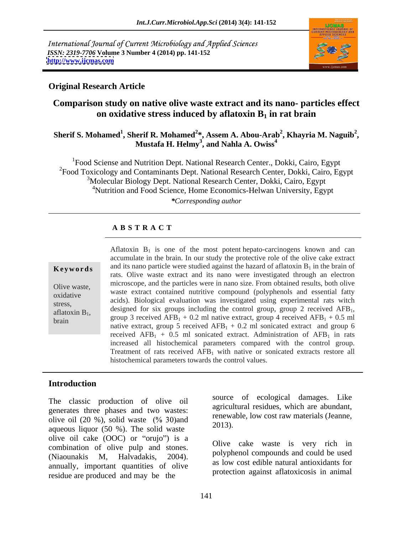International Journal of Current Microbiology and Applied Sciences *ISSN: 2319-7706* **Volume 3 Number 4 (2014) pp. 141-152 <http://www.ijcmas.com>**



# **Original Research Article**

# **Comparison study on native olive waste extract and its nano- particles effect on oxidative stress induced by aflatoxin B<sub>1</sub> in rat brain**

### **Sherif S. Mohamed<sup>1</sup> , Sherif R. Mohamed<sup>2</sup> \*, Assem A. Abou-Arab<sup>2</sup> , Khayria M. Naguib<sup>2</sup> , Mustafa H. Helmy<sup>3</sup> , and Nahla A. Owiss<sup>4</sup>**

<sup>1</sup>Food Sciense and Nutrition Dept. National Research Center., Dokki, Cairo, Egypt <sup>2</sup>Food Toxicology and Contaminants Dept. National Research Center, Dokki, Cairo, Egypt <sup>3</sup>Molecular Biology Dept. National Research Center, Dokki, Cairo, Egypt <sup>4</sup>Nutrition and Food Science, Home Economics-Helwan University, Egypt *\*Corresponding author*

## **A B S T R A C T**

**Keywords** and its nano particle were studied against the hazard of aflatoxin  $B_1$  in the brain of Olive waste, microscope, and the particles were in nano size. From obtained results, both olive oxidative waste extract contained humove compound (polyphenois and essential latty stress, acids). Biological evaluation was investigated using experimental rats witch aflatoxin B<sub>1</sub>, designed for six groups including the control group, group 2 received AFB<sub>1</sub>, group 3 received AFB<sub>1</sub> + 0.2 ml native extract, group 4 received AFB<sub>1</sub> + 0.5 ml Aflatoxin  $B_1$  is one of the most potent hepato-carcinogens known and can accumulate in the brain. In our study the protective role of the olive cake extract rats. Olive waste extract and its nano were investigated through an electron waste extract contained nutritive compound (polyphenols and essential fatty native extract, group 5 received  $AFB<sub>1</sub> + 0.2$  ml sonicated extract and group 6 received  $AFB<sub>1</sub> + 0.5$  ml sonicated extract. Administration of  $AFB<sub>1</sub>$  in rats increased all histochemical parameters compared with the control group. Treatment of rats received  $AFB<sub>1</sub>$  with native or sonicated extracts restore all histochemical parameters towards the control values.

### **Introduction**

The classic production of olive oil generates three phases and two wastes: olive oil (20 %), solid waste  $(\frac{6}{6}, \frac{30}{2})$  and  $\frac{1}{2013}$ . aqueous liquor (50 %). The solid waste olive oil cake  $(OOC)$  or "orujo") is a combination of olive pulp and stones. (Niaounakis M, Halvadakis, 2004). Pulyphenol compounds and could be used annually, important quantities of olive residue are produced and may be the

source of ecological damages. Like agricultural residues, which are abundant, renewable, low cost raw materials (Jeanne, 2013).

Olive cake waste is very rich in polyphenol compounds and could be used as low cost edible natural antioxidants for protection against aflatoxicosis in animal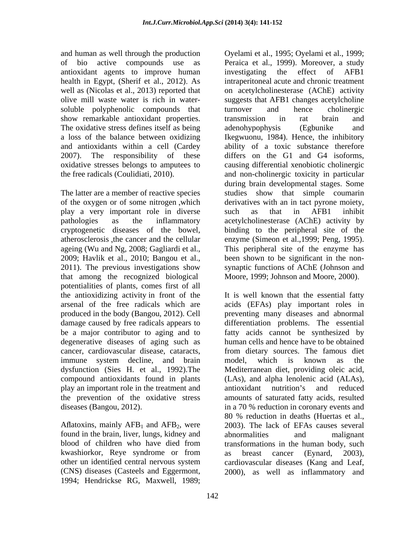antioxidant agents to improve human soluble polyphenolic compounds that turnover and hence cholinergic show remarkable antioxidant properties. It transmission in ratior brain and The oxidative stress defines itself as being adenohypophysis (Egbunike and

play a very important role in diverse 2009; Havlik et al., 2010; Bangou et al., that among the recognized biological potentialities of plants, comes first of all the antioxidizing activity in front of the be a major contributor to aging and to degenerative diseases of aging such as immune system decline, and brain model, which is known as the play an important role in the treatment and

Aflatoxins, mainly  $AFB<sub>1</sub>$  and  $AFB<sub>2</sub>$ , were found in the brain, liver, lungs, kidney and abnormalities and malignant kwashiorkor, Reye syndrome or from as breast cancer (Evnard, 2003), (CNS) diseases (Casteels and Eggermont, 2000), as well as inflammatory and1994; Hendrickse RG, Maxwell, 1989;

and human as well through the production Oyelami et al., 1995; Oyelami et al., 1999; of bio active compounds use as Peraica et al., 1999).Moreover, a study health in Egypt, (Sherif et al., 2012). As intraperitoneal acute and chronic treatment well as (Nicolas et al., 2013) reported that on acetylcholinesterase (AChE) activity olive mill waste water is rich in water- suggests that AFB1 changes acetylcholine a loss of the balance between oxidizing Ikegwuonu, 1984). Hence, the inhibitory and antioxidants within a cell (Cardey ability of a toxic substance therefore 2007). The responsibility of these differs on the G1 and G4 isoforms, oxidative stresses belongs to amputees to causing differential xenobiotic cholinergic the free radicals (Coulidiati, 2010). and non-cholinergic toxicity in particular The latter are a member of reactive species studies show that simple coumarin of the oxygen or of some nitrogen which derivatives with an in tact pyrone moiety, pathologies as the inflammatory acetylcholinesterase (AChE) activity by cryptogenetic diseases of the bowel, binding to the peripheral site of the atherosclerosis , the cancer and the cellular enzyme (Simeon et al., 1999; Peng, 1995). ageing (Wu and Ng, 2008; Gagliardi et al., This peripheral site of the enzyme has 2011). The previous investigations show synaptic functions of AChE (Johnson and investigating the effect of AFB1 turnover and hence cholinergic transmission in rat brain and adenohypophysis (Egbunike and during brain developmental stages. Some such as that in AFB1 inhibit been shown to be significant in the non-Moore, 1999; Johnson and Moore, 2000)

arsenal of the free radicals which are acids (EFAs) play important roles in produced in the body (Bangou, 2012). Cell preventing many diseases and abnormal damage caused by free radicals appears to differentiation problems. The essential cancer, cardiovascular disease, cataracts, from dietary sources. The famous diet dysfunction (Sies H. et al., 1992).The Mediterranean diet, providing oleic acid, compound antioxidants found in plants (LAs), and alpha lenolenic acid (ALAs), the prevention of the oxidative stress amounts of saturated fatty acids, resulted diseases (Bangou, 2012). in a 70 % reduction in coronary events and blood of children who have died from transformations in the human body, such other un identified central nervous system cardiovascular diseases (Kang and Leaf, It is well known that the essential fatty fatty acids cannot be synthesized by human cells and hence have to be obtained model, which is known as the antioxidant nutrition's and reduced 80 % reduction in deaths (Huertas et al., 2003). The lack of EFAs causes several abnormalities and malignant as breast cancer (Eynard, 2003),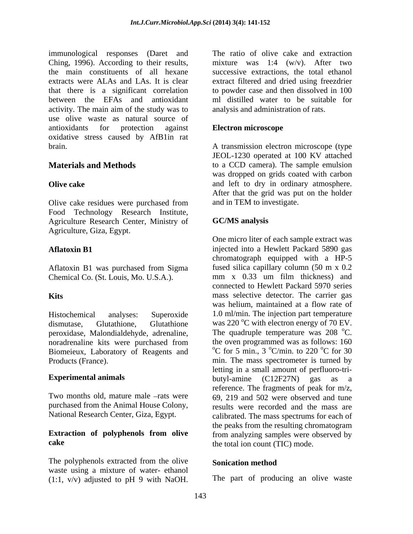immunological responses (Daret and Ching, 1996). According to their results,<br>the main constituents of all hexane the main constituents of all hexane successive extractions, the total ethanol extracts were ALAs and LAs. It is clear extract filtered and dried using freezdrier that there is a significant correlation between the EFAs and antioxidant activity. The main aim of the study was to analysis and administration of rats. use olive waste as natural source of antioxidants for protection against **Electron microscope** oxidative stress caused by AfB1in rat brain. A transmission electron microscope (type

Olive cake residues were purchased from Food Technology Research Institute, Agriculture Research Center, Ministry of **GC/MS analysis** Agriculture, Giza, Egypt.

Aflatoxin B1 was purchased from Sigma fused silica capillary column (50 m x 0.2<br>
Chemical Co (St. Louis Mo U.S.A.) mm x 0.33 um film thickness) and Chemical Co. (St. Louis, Mo. U.S.A.).

peroxidase, Malondialdehyde, adrenaline, noradrenaline kits were purchased from Biomeieux, Laboratory of Reagents and

The polyphenols extracted from the olive waste using a mixture of water- ethanol<br>(1:1,  $v/v$ ) adjusted to pH 9 with NaOH. The part of producing an olive waste (1:1, v/v) adjusted to pH 9 with NaOH.

The ratio of olive cake and extraction mixture was 1:4 (w/v). After two to powder case and then dissolved in 100 ml distilled water to be suitable for analysis and administration of rats.

### **Electron microscope**

**Materials and Methods** to a CCD camera). The sample emulsion **Olive cake** and left to dry in ordinary atmosphere. JEOL-1230 operated at 100 KV attached was dropped on grids coated with carbon After that the grid was put on the holder and in TEM to investigate.

### **GC/MS analysis**

**Aflatoxin B1** injected into a Hewlett Packard 5890 gas **Kits**  mass selective detector. The carrier gas Histochemical analyses: Superoxide 1.0 ml/min. The injection part temperature dismutase, Glutathione, Glutathione was 220  $\mathrm{^{\circ}C}$  with electron energy of 70 EV. Products (France). min. The mass spectrometer is turned by **Experimental animals** butyl-amine (C12F27N) gas as a Two months old, mature male  $-rats$  were  $69, 219$  and  $502$  were observed and tune purchased from the Animal House Colony, results were recorded and the mass are National Research Center, Giza, Egypt. calibrated. The mass spectrums for each of **Extraction of polyphenols from olive** from analyzing samples were observed by **cake** the total ion count (TIC) mode. One micro liter of each sample extract was chromatograph equipped with a HP-5 fused silica capillary column (50 m x 0.2 mm x 0.33 um film thickness) and connected to Hewlett Packard 5970 series was helium, maintained at a flow rate of The quadruple temperature was 208 °C.  $\mathrm{^0C}$ . the oven programmed was as follows: 160  $\rm{^{\circ}C}$  for 5 min., 3  $\rm{^{\circ}C/min}$ , to 220  $\rm{^{\circ}C}$  for 30  $\mathrm{^{\circ}C/min}$ . to 220  $\mathrm{^{\circ}C}$  for 30  $\rm{^{\circ}C}$  for 30 letting in a small amount of perfluoro-tri reference. The fragments of peak for m/z, the peaks from the resulting chromatogram

### **Sonication method**

The part of producing an olive waste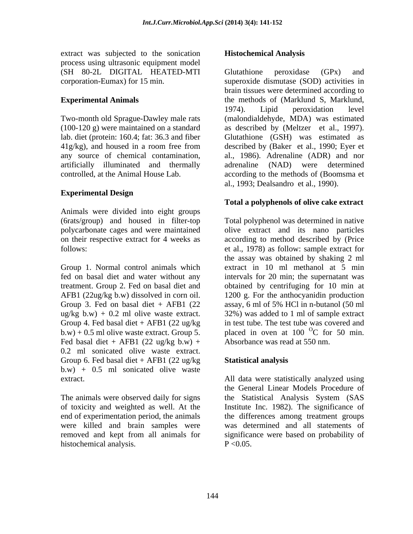extract was subjected to the sonication process using ultrasonic equipment model (SH 80-2L DIGITAL HEATED-MTI

41g/kg), and housed in a room free from any source of chemical contamination,

## **Experimental Design**

Animals were divided into eight groups (6rats/group) and housed in filter-top

fed on basal diet and water without any treatment. Group 2. Fed on basal diet and Group 3. Fed on basal diet  $+$  AFB1 (22 assay, 6 ml of 5% HCl in n-butanol (50 ml  $b.w$ ) + 0.5 ml olive waste extract. Group 5. Fed basal diet + AFB1 (22 ug/kg b.w) + 0.2 ml sonicated olive waste extract. Group 6. Fed basal diet  $+$  AFB1 (22 ug/kg Statistical analysis b.w) + 0.5 ml sonicated olive waste extract. All data were statistically analyzed using

end of experimentation period, the animals were killed and brain samples were histochemical analysis.

# **Histochemical Analysis**

corporation-Eumax) for 15 min. superoxide dismutase (SOD) activities in **Experimental Animals** the methods of (Marklund S, Marklund, Two-month old Sprague-Dawley male rats (malondialdehyde, MDA) was estimated (100-120 g) were maintained on a standard as described by (Meltzer et al., 1997). lab. diet (protein: 160.4; fat: 36.3 and fiber Glutathione (GSH) was estimated as artificially illuminated and thermally adrenaline (NAD) were determined controlled, at the Animal House Lab. according to the methods of (Boomsma et Glutathione peroxidase (GPx) and brain tissues were determined according to 1974). Lipid peroxidation level described by (Baker et al., 1990; Eyer et al., 1986). Adrenaline (ADR) and nor al., 1993; Dealsandro et al., 1990).

## **Total a polyphenols of olive cake extract**

polycarbonate cages and were maintained olive extract and its nano particles on their respective extract for 4 weeks as according to method described by (Price follows: et al., 1978) as follow: sample extract for Group 1. Normal control animals which extract in 10 ml methanol at 5 min AFB1 (22ug/kg b.w) dissolved in corn oil. 1200 g. For the anthocyanidin production ug/kg b.w)  $+$  0.2 ml olive waste extract.  $32\%$  was added to 1 ml of sample extract Group 4. Fed basal diet + AFB1 (22 ug/kg in test tube. The test tube was covered and Total polyphenol was determined in native the assay was obtained by shaking 2 ml intervals for 20 min; the supernatant was obtained by centrifuging for 10 min at assay, 6ml of 5% HCl in n-butanol (50 ml placed in oven at  $100<sup>o</sup>C$  for 50 min. C for 50 min. Absorbance was read at 550 nm.

# **Statistical analysis**

The animals were observed daily for signs the Statistical Analysis System (SAS of toxicity and weighted as well. At the Institute Inc. 1982). The significance of removed and kept from all animals for significance were based on probability of All data were statistically analyzed using the General Linear Models Procedure of the differences among treatment groups was determined and all statements of  $P < 0.05$ .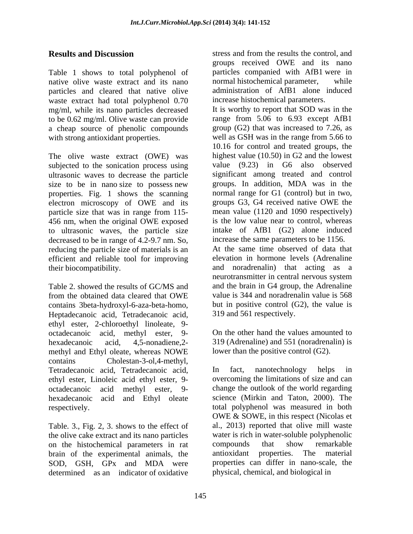Table 1 shows to total polyphenol of native olive waste extract and its nano normal histochemical parameter, while particles and cleared that native olive waste extract had total polyphenol 0.70 mg/ml, while its nano particles decreased to be 0.62 mg/ml. Olive waste can provide a cheap source of phenolic compounds

The olive waste extract (OWE) was subjected to the sonication process using ultrasonic waves to decrease the particle size to be in nano size to possess new properties. Fig. 1 shows the scanning electron microscopy of OWE and its particle size that was in range from 115- 456 nm, when the original OWE exposed to ultrasonic waves, the particle size decreased to be in range of 4.2-9.7 nm. So, reducing the particle size of materials is an efficient and reliable tool for improving

from the obtained data cleared that OWE contains 3beta-hydroxyl-6-aza-beta-homo, Heptadecanoic acid, Tetradecanoic acid, ethyl ester, 2-chloroethyl linoleate, 9-<br>octadecanoic acid. methyl ester. 9- On the other hand the values amounted to octadecanoic acid, methyl ester, 9 hexadecanoic acid, 4,5-nonadiene,2- 319 (Adrenaline) and 551 (noradrenalin) is methyl and Ethyl oleate, whereas NOWE contains Cholestan-3-ol,4-methyl, Tetradecanoic acid, Tetradecanoic acid, In fact, nanotechnology helps in ethyl ester, Linoleic acid ethyl ester, 9 octadecanoic acid methyl ester, 9- change the outlook of the world regarding hexadecanoic acid and Ethyl oleate

Table. 3., Fig. 2, 3. shows to the effect of the olive cake extract and its nano particles on the histochemical parameters in rat brain of the experimental animals, the SOD, GSH, GPx and MDA were determined as an indicator of oxidative

**Results and Discussion** stress and from the results the control, and groups received OWE and its nano particles companied with AfB1 were in normal histochemical parameter, administration of AfB1 alone induced increase histochemical parameters.

with strong antioxidant properties. Well as GSH was in the range from 5.66 to their biocompatibility. and noradrenalin) that acting as a<br>neurotransmitter in central nervous system<br>Table 2. showed the results of GC/MS and and the brain in G4 group, the Adrenaline It is worthy to report that SOD was in the range from 5.06 to 6.93 except AfB1 group (G2) that was increased to 7.26, as 10.16 for control and treated groups, the highest value (10.50) in G2 and the lowest value (9.23) in G6 also observed significant among treated and control groups. In addition, MDA was in the normal range for G1 (control) but in two, groups G3, G4 received native OWE the mean value (1120 and 1090 respectively) is the low value near to control, whereas intake of AfB1 (G2) alone induced increase the same parameters to be 1156. At the same time observed of data that elevation in hormone levels (Adrenaline and noradrenalin) that acting as a neurotransmitter in central nervous system and the brain in G4 group, the Adrenaline value is 344 and noradrenalin value is 568 but in positive control  $(G2)$ , the value is 319 and 561 respectively.

> On the other hand the values amounted to lower than the positive control (G2).

respectively. total polyphenol was measured in both In fact, nanotechnology helps in overcoming the limitations of size and can science (Mirkin and Taton, 2000). The OWE & SOWE, in this respect (Nicolas et al., 2013) reported that olive mill waste water is rich in water-soluble polyphenolic compounds that show remarkable antioxidant properties. The material properties can differ in nano-scale, the physical, chemical, and biological in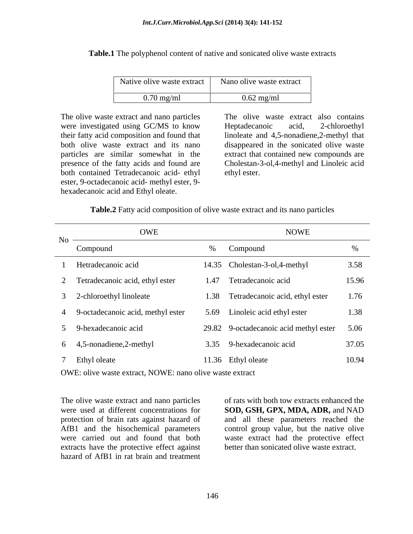**Table.1** The polyphenol content of native and sonicated olive waste extracts

| Native olive            | . .                      |
|-------------------------|--------------------------|
| e waste extract         | Nano olive waste extract |
| $  \sim$                | $0.62 \text{ mg/ml}$     |
| $0.70 \,\mathrm{mg/ml}$ | ັ                        |

The olive waste extract and nano particles were investigated using GC/MS to know Heptadecanoic acid, 2-chloroethyl their fatty acid composition and found that linoleate and 4,5-nonadiene,2-methyl that both olive waste extract and its nano disappeared in the sonicated olive waste particles are similar somewhat in the extract that contained new compounds are presence of the fatty acids and found are Cholestan-3-ol,4-methyl and Linoleic acid both contained Tetradecanoic acid- ethyl ethyl ester. ester, 9-octadecanoic acid- methyl ester, 9 hexadecanoic acid and Ethyl oleate.

The olive waste extract also contains Heptadecanoic acid, 2-chloroethyl ethyl ester.

**Table.2** Fatty acid composition of olive waste extract and its nano particles

| OWE<br>$No$ —                       | <b>NOWE</b>                                 |       |
|-------------------------------------|---------------------------------------------|-------|
| Compound                            | % Compound                                  |       |
| Hetradecanoic acid                  | 14.35 Cholestan-3-ol,4-methyl               | 3.58  |
| Tetradecanoic acid, ethyl ester     | 1.47 Tetradecanoic acid                     | 15.96 |
| 2-chloroethyl linoleate             | 1.38 Tetradecanoic acid, ethyl ester        | 1.76  |
| 4 9-octadecanoic acid, methyl ester | 5.69 Linoleic acid ethyl ester              | 1.38  |
| 9-hexadecanoic acid                 | 29.82 9-octadecanoic acid methyl ester 5.06 |       |
| 6 4,5-nonadiene,2-methyl            | 3.35 9-hexadecanoic acid                    | 37.05 |
| Ethyl oleate                        | 11.36 Ethyl oleate                          | 10.94 |

OWE: olive waste extract, NOWE: nano olive waste extract

The olive waste extract and nano particles of rats with both tow extracts enhanced the extracts have the protective effect against hazard of AfB1 in rat brain and treatment

were used at different concentrations for **SOD, GSH, GPX, MDA, ADR,** and NAD protection of brain rats against hazard of and all these parameters reached the AfB1 and the hisochemical parameters control group value, but the native olive were carried out and found that both waste extract had the protective effect better than sonicated olive waste extract.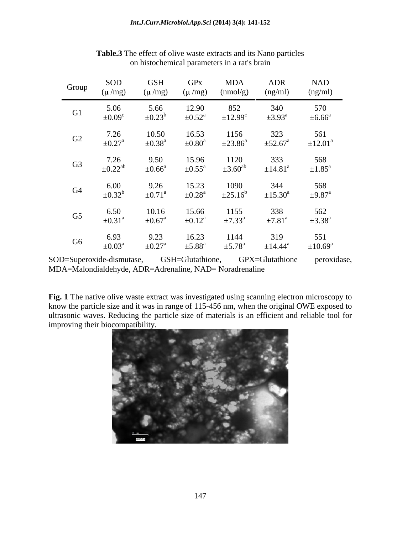| Group          | SOD<br>$(\mu/mg)$                                                                    | <b>GSF</b><br>(u /mg    | $(\mu/mg)$              | <b>MDA</b><br>(mmol/g)   | <b>ADR</b><br>(ng/ml)    | <b>NAD</b><br>(ng/ml)                                                                                                                                                                                                                                                                         |
|----------------|--------------------------------------------------------------------------------------|-------------------------|-------------------------|--------------------------|--------------------------|-----------------------------------------------------------------------------------------------------------------------------------------------------------------------------------------------------------------------------------------------------------------------------------------------|
| G1             | 5.06                                                                                 | 5.66                    | 12.90                   | 852                      | 340                      | 570                                                                                                                                                                                                                                                                                           |
|                | $\pm 0.09^\circ$                                                                     | $\pm 0.23^b$            | $\pm 0.52^{\text{a}}$   | $\pm$ 12.99 <sup>c</sup> | $\pm 3.93^{\text{a}}$    | $\pm 6.66^{\circ}$                                                                                                                                                                                                                                                                            |
| G2             | 7.26                                                                                 | 10.50                   | 16.53                   | 1156                     | 323                      | 561                                                                                                                                                                                                                                                                                           |
|                | $\pm 0.27$ <sup>a</sup>                                                              | $\pm 0.38$ <sup>a</sup> | $\pm 0.80^{\text{a}}$   | $\pm 23.86^{\circ}$      | $\pm 52.67$ <sup>a</sup> | $\pm 12.01^{\circ}$                                                                                                                                                                                                                                                                           |
| G3             | 7.26                                                                                 | 9.50                    | 15.96                   | 1120                     | 333                      | 568                                                                                                                                                                                                                                                                                           |
|                | $\pm 0.22$ <sup>ab</sup>                                                             | $\pm 0.66^{\text{a}}$   | $\pm 0.55^{\text{a}}$   | $\pm 3.60^{\text{ab}}$   | $\pm$ 14.81 <sup>a</sup> | $\pm 1.85^{\text{a}}$                                                                                                                                                                                                                                                                         |
| G4             | 6.00                                                                                 | 9.26                    | 15.23                   | 1090                     | 344                      | 568                                                                                                                                                                                                                                                                                           |
|                | $\pm 0.32^b$                                                                         | $\pm 0.71$ <sup>a</sup> | $\pm 0.28^{\text{a}}$   | $\pm 25.16^b$            | $\pm 15.30^{\mathrm{a}}$ | $\pm 9.87$ <sup>a</sup>                                                                                                                                                                                                                                                                       |
| G <sub>5</sub> | 6.50                                                                                 | 10.16                   | 15.66                   | 1155                     | 338                      | 562                                                                                                                                                                                                                                                                                           |
|                | $\pm 0.31$ <sup>a</sup>                                                              | $\pm 0.67$ <sup>a</sup> | $\pm 0.12^{\text{a}}$   | $\pm 7.33^{\circ}$       | $\pm 7.81^{\circ}$       | $\pm 3.38^{\text{a}}$                                                                                                                                                                                                                                                                         |
| G <sub>6</sub> | 6.93                                                                                 | 9.23                    | 16.23                   | 1144                     | 319                      | 551                                                                                                                                                                                                                                                                                           |
|                | $\pm 0.03^{\text{a}}$                                                                | $\pm 0.27$ <sup>a</sup> | $\pm 5.88$ <sup>a</sup> | $\pm$ 5.78 <sup>a</sup>  | ±14.44 <sup>a</sup>      | $\pm 10.69^{\mathrm{a}}$                                                                                                                                                                                                                                                                      |
|                | SOD=Superoxide-dismutase,<br>MDA=Malondialdehyde, ADR=Adrenaline, NAD= Noradrenaline |                         | GSH=Glutathione,        |                          | GPX=Glutathione          | peroxidase,                                                                                                                                                                                                                                                                                   |
|                | improving their biocompatibility.                                                    |                         |                         |                          |                          | Fig. 1 The native olive waste extract was investigated using scanning electron microscopy to<br>know the particle size and it was in range of 115-456 nm, when the original OWE exposed to<br>ultrasonic waves. Reducing the particle size of materials is an efficient and reliable tool for |

**Table.3** The effect of olive waste extracts and its Nano particles on histochemical parameters in a rat's brain

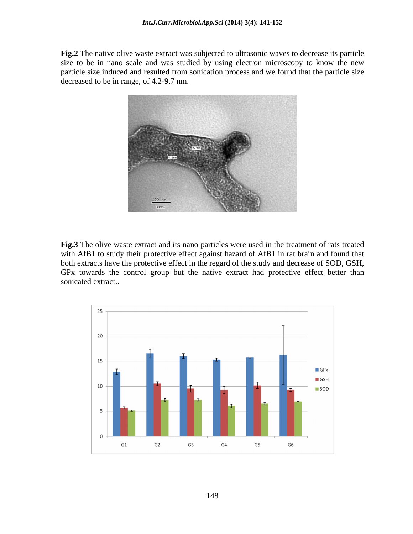**Fig.2** The native olive waste extract was subjected to ultrasonic waves to decrease its particle size to be in nano scale and was studied by using electron microscopy to know the new particle size induced and resulted from sonication process and we found that the particle size decreased to be in range, of 4.2-9.7 nm.



**Fig.3** The olive waste extract and its nano particles were used in the treatment of rats treated with AfB1 to study their protective effect against hazard of AfB1 in rat brain and found that both extracts have the protective effect in the regard of the study and decrease of SOD, GSH, GPx towards the control group but the native extract had protective effect better than sonicated extract..

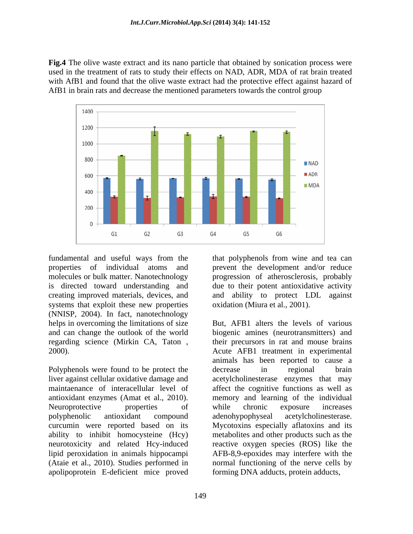**Fig.4** The olive waste extract and its nano particle that obtained by sonication process were used in the treatment of rats to study their effects on NAD, ADR, MDA of rat brain treated with AfB1 and found that the olive waste extract had the protective effect against hazard of AfB1 in brain rats and decrease the mentioned parameters towards the control group



systems that exploit these new properties (NNISP, 2004). In fact, nanotechnology

Polyphenols were found to be protect the decrease in regional brain liver against cellular oxidative damage and acetylcholinesterase enzymes that may maintaenance of interacellular level of affect the cognitive functions as well as antioxidant enzymes (Amat et al., 2010). Neuroprotective properties of while chronic exposure increases polyphenolic antioxidant compound curcumin were reported based on its Mycotoxins especially aflatoxins and its ability to inhibit homocysteine (Hcy) metabolites and other products such as the neurotoxicity and related Hcy-induced reactive oxygen species (ROS) like the lipid peroxidation in animals hippocampi AFB-8,9-epoxides may interfere with the (Ataie et al., 2010). Studies performed in normal functioning of the nerve cells by apolipoprotein E-deficient mice proved

fundamental and useful ways from the that polyphenols from wine and tea can properties of individual atoms and prevent the development and/or reduce molecules or bulk matter. Nanotechnology progression of atherosclerosis, probably is directed toward understanding and due to their potent antioxidative activity creating improved materials, devices, and and ability to protect LDL against oxidation (Miura et al., 2001).

helps in overcoming the limitations of size But, AFB1 alters the levels of various and can change the outlook of the world biogenic amines (neurotransmitters) and regarding science (Mirkin CA, Taton , their precursors in rat and mouse brains 2000). Acute AFB1 treatment in experimental animals has been reported to cause a decrease in regional brain memory and learning of the individual while chronic exposure increases adenohypophyseal acetylcholinesterase. forming DNA adducts, protein adducts,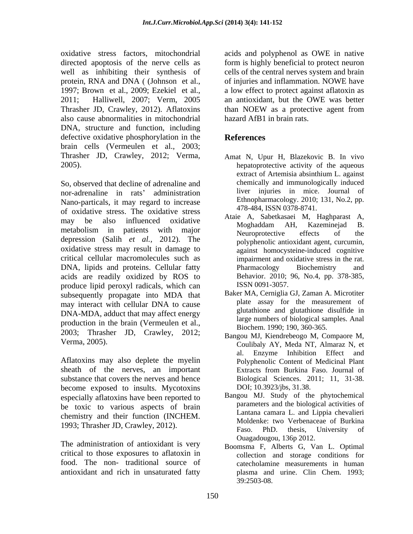oxidative stress factors, mitochondrial acids and polyphenol as OWE in native directed apoptosis of the nerve cells as form is highly beneficial to protect neuron well as inhibiting their synthesis of cells of the central nerves system and brain protein, RNA and DNA (Johnson et al., of injuries and inflammation. NOWE have 1997; Brown et al., 2009; Ezekiel et al., a low effect to protect against aflatoxin as 2011; Halliwell, 2007; Verm, 2005 an antioxidant, but the OWE was better Thrasher JD, Crawley, 2012). Aflatoxins than NOEW as a protective agent from also cause abnormalities in mitochondrial DNA, structure and function, including defective oxidative phosphorylation in the **References** brain cells (Vermeulen et al., 2003; Thrasher JD, Crawley, 2012; Verma,

nor-adrenaline in rats' administration Nano-particals, it may regard to increase of oxidative stress. The oxidative stress may be also influenced oxidative  $\overrightarrow{h}$  Mochedden AH Kezeminaid B metabolism in patients with major<br>Neuroprotective effects of the depression (Salih *et al.,* 2012). The oxidative stress may result in damage to critical cellular macromolecules such as impairment and oxidative stress in the rat. DNA, lipids and proteins. Cellular fatty **Example 2** Pharmacology Biochemistry and acids are readily oxidized by ROS to produce lipid peroxyl radicals, which can subsequently propagate into MDA that may interact with cellular DNA to cause DNA-MDA, adduct that may affect energy production in the brain (Vermeulen et al., 2003; Thrasher JD, Crawley, 2012;

Aflatoxins may also deplete the myelin sheath of the nerves, an important Extracts from Burkina Faso. Journal of substance that covers the nerves and hence become exposed to insults. Mycotoxins especially aflatoxins have been reported to be toxic to various aspects of brain chemistry and their function (INCHEM.

The administration of antioxidant is very critical to those exposures to aflatoxin in food. The non- traditional source of antioxidant and rich in unsaturated fatty

than NOEW as a protective agent from hazard AfB1 in brain rats.

# **References**

- 2005). hepatoprotective activity of the aqueous So, observed that decline of adrenaline and<br>So, observed that decline of adrenaline and<br>chemically and immunologically induced Amat N, Upur H, Blazekovic B. In vivo extract of Artemisia absinthium L. against chemically and immunologically induced liver injuries in mice. Journal of Ethnopharmacology. 2010; 131, No.2, pp. 478-484, ISSN 0378-8741.
	- Ataie A, Sabetkasaei M, Haghparast A, Moghaddam AH, Kazeminejad B. Neuroprotective effects of the polyphenolic antioxidant agent, curcumin, against homocysteine-induced cognitive Pharmacology Biochemistry and Behavior. 2010; 96, No.4, pp. 378-385, ISSN 0091-3057.
	- Baker MA, Cerniglia GJ, Zaman A. Microtiter plate assay for the measurement of glutathione and glutathione disulfide in large numbers of biological samples. Anal Biochem. 1990; 190, 360-365.
- Verma, 2005). Coulibaly AY, Meda NT, Almaraz N, et Bangou MJ, Kiendrebeogo M, Compaore M, al. Enzyme Inhibition Effect and Polyphenolic Content of Medicinal Plant Extracts from Burkina Faso. Journal of Biological Sciences. 2011; 11, 31-38. DOI; 10.3923/jbs, 31.38.
- 1993; Thrasher JD, Crawley, 2012).<br>Faso. PhD. thesis, University of Bangou MJ. Study of the phytochemical parameters and the biological activities of Lantana camara L. and Lippia chevalieri Moldenke: two Verbenaceae of Burkina Faso. PhD. thesis, University of Ouagadougou, 136p 2012.
	- Boomsma F, Alberts G, Van L. Optimal collection and storage conditions for catecholamine measurements in human plasma and urine. Clin Chem. 1993; 39:2503-08.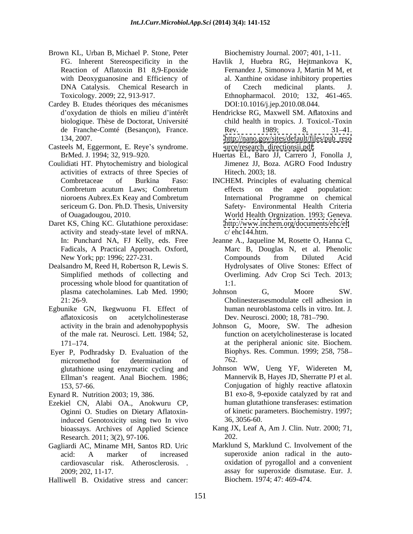- Brown KL, Urban B, Michael P. Stone, Peter
- Cardey B. Etudes théoriques des mécanismes
- Casteels M, Eggermont, E. Reye's syndrome.
- Coulidiati HT. Phytochemistry and biological activities of extracts of three Species of
- Daret KS, Ching KC. Glutathione peroxidase: activity and steady-state level of mRNA. In: Punchard NA, FJ Kelly, eds. Free
- Dealsandro M, Reed H, Robertson R, Lewis S. processing whole blood for quantitation of 1:1.
- Egbunike GN, Ikegwuonu FI. Effect of aflatoxicosis on acetylcholinesterase Dev. Neurosci. 2000; 18, 781–790.
- Eyer P, Podhradsky D. Evaluation of the Biop<br>micromethod for determination of 762. micromethod for determination of 762. glutathione using enzymatic cycling and Ellman's reagent. Anal Biochem. 1986;

- Ezekiel CN, Alabi OA., Anokwuru CP, Oginni O. Studies on Dietary Aflatoxininduced Genotoxicity using two In vivo 36, 3056-60. bioassays. Archives of Applied Science Research. 2011; 3(2), 97-106. 202.
- Gagliardi AC, Miname MH, Santos RD. Uric cardiovascular risk. Atherosclerosis. .
- Halliwell B. Oxidative stress and cancer:

Biochemistry Journal. 2007; 401, 1-11.

- FG. Inherent Stereospecificity in the Havlik J, Huebra RG, Hejtmankova K, Reaction of Aflatoxin B1 8,9-Epoxide Fernandez J, Simonova J, Martin M M, et with Deoxyguanosine and Efficiency of al. Xanthine oxidase inhibitory properties DNA Catalysis. Chemical Research in The Czech medicinal plants. J. Toxicology. 2009; 22, 913-917. Ethnopharmacol. 2010; 132, 461-465. Fernandez J, Simonova J, Martin M M, et of Czech medicinal plants. J. DOI:10.1016/j.jep.2010.08.044.
- d'oxydation de thiols en milieu d'intérêt Hendrickse RG, Maxwell SM. Aflatoxins and biologique. Thèse de Doctorat, Université child health in tropics. J. Toxicol.-Toxin de Franche-Comté (Besançon), France. 134, 2007. [http://nano.gov/sites/default/files/pub\\_reso](http://nano.gov/sites/default/files/pub_reso) Rev. 1989; 8, 31–41. [urce/research\\_directionsii.pdf](urce/research_directionsii.pdf).
- BrMed. J. 1994; 32, 919 920. Huertas EL, Baro JJ, Carrero J, Fonolla J, Jimenez JJ, Boza. AGRO Food Industry Hitech. 2003; 18.
- Combretaceae of Burkina Faso: INCHEM. Principles of evaluating chemical Combretum acutum Laws; Combretum nioroens Aubrex.Ex Keay and Combretum International Programme on chemical sericeum G. Don. Ph.D. Thesis, University Safety- Environmental Health Criteria of Ouagadougou, 2010. World Health Orgnization. 1993; Geneva. effects on the aged population: <http://www.inchem.org/documents/ehc/eh>  $c/$  ehc  $144.$ htm.
- Fadicals, A Practical Approach. Oxford, Marc B, Douglas N, et al. Phenolic New York; pp: 1996; 227-231. Compounds from Diluted Acid Simplified methods of collecting and Overliming. Adv Crop Sci Tech. 2013; Jeanne A., Jaqueline M, Rosette O, Hanna C, Compounds from Diluted Acid Hydrolysates of Olive Stones: Effect of 1:1.
- plasma catecholamines. Lab Med. 1990; 21: 26-9. Cholinesterasesmodulate cell adhesion in Johnson G, Moore SW. human neuroblastoma cells in vitro. Int. J.
- activity in the brain and adenohypophysis Johnson G, Moore, SW. The adhesion of the male rat. Neurosci. Lett. 1984; 52, function on acetylcholinesterase is located 171 174 at the peripheral anionic site. Biochem. Biophys. Res. Commun. 1999; 258, 758 762.
- 153, 57-66. Conjugation of highly reactive aflatoxin Eynard R. Nutrition 2003; 19, 386. B1 exo-8, 9-epoxide catalyzed by rat and Johnson WW, Ueng YF, Widereten M, Mannervik B, Hayes JD, Sherratte PJ et al. human glutathione transferases: estimation of kinetic parameters. Biochemistry. 1997; 36, 3056-60.
	- Kang JX, Leaf A, Am J. Clin. Nutr. 2000; 71, 202.
	- acid: A marker of increased superoxide anion radical in the auto-2009; 202, 11-17. assay for superoxide dismutase. Eur. J. Marklund S, Marklund C. Involvement of the superoxide anion radical in the auto oxidation of pyrogallol and a convenient Biochem. 1974; 47: 469-474.